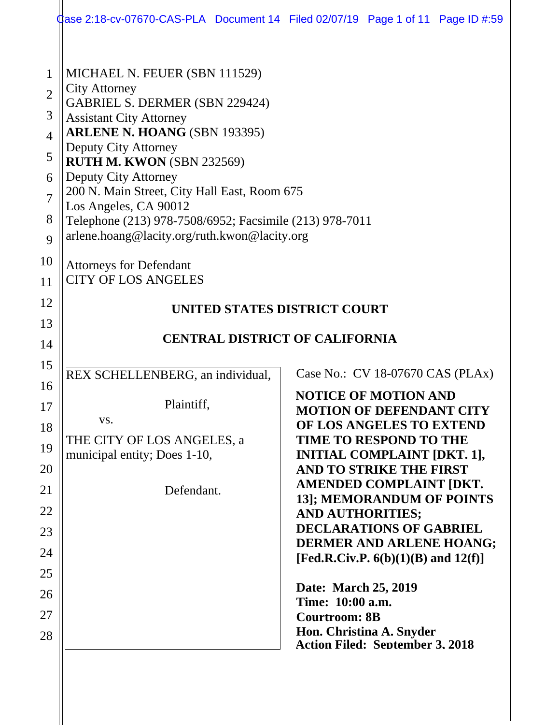|                                                                                        | $\,\,\,$ dase 2:18-cv-07670-CAS-PLA Document 14 Filed 02/07/19 Page 1 of 11 Page ID #:59                                                                                                                                                                                                                                                                                                                                                                            |                                                                  |                                                                                                                                                                                           |  |
|----------------------------------------------------------------------------------------|---------------------------------------------------------------------------------------------------------------------------------------------------------------------------------------------------------------------------------------------------------------------------------------------------------------------------------------------------------------------------------------------------------------------------------------------------------------------|------------------------------------------------------------------|-------------------------------------------------------------------------------------------------------------------------------------------------------------------------------------------|--|
| 1<br>$\overline{2}$<br>3<br>$\overline{4}$<br>5<br>6<br>$\overline{7}$<br>8<br>9<br>10 | MICHAEL N. FEUER (SBN 111529)<br><b>City Attorney</b><br><b>GABRIEL S. DERMER (SBN 229424)</b><br><b>Assistant City Attorney</b><br>ARLENE N. HOANG (SBN 193395)<br>Deputy City Attorney<br>RUTH M. KWON (SBN 232569)<br>Deputy City Attorney<br>200 N. Main Street, City Hall East, Room 675<br>Los Angeles, CA 90012<br>Telephone (213) 978-7508/6952; Facsimile (213) 978-7011<br>arlene.hoang@lacity.org/ruth.kwon@lacity.org<br><b>Attorneys for Defendant</b> |                                                                  |                                                                                                                                                                                           |  |
| 11                                                                                     | <b>CITY OF LOS ANGELES</b>                                                                                                                                                                                                                                                                                                                                                                                                                                          |                                                                  |                                                                                                                                                                                           |  |
| 12<br>13<br>14                                                                         | UNITED STATES DISTRICT COURT<br><b>CENTRAL DISTRICT OF CALIFORNIA</b>                                                                                                                                                                                                                                                                                                                                                                                               |                                                                  |                                                                                                                                                                                           |  |
| 15<br>16                                                                               | REX SCHELLENBERG, an individual,                                                                                                                                                                                                                                                                                                                                                                                                                                    |                                                                  | Case No.: CV 18-07670 CAS (PLAx)                                                                                                                                                          |  |
| 17<br>18<br>19                                                                         | Plaintiff,<br>VS.<br>THE CITY OF LOS ANGELES, a<br>municipal entity; Does 1-10,                                                                                                                                                                                                                                                                                                                                                                                     |                                                                  | <b>NOTICE OF MOTION AND</b><br><b>MOTION OF DEFENDANT CITY</b><br>OF LOS ANGELES TO EXTEND<br><b>TIME TO RESPOND TO THE</b><br><b>INITIAL COMPLAINT [DKT. 1],</b>                         |  |
| 20<br>21<br>22<br>23<br>24                                                             | Defendant.                                                                                                                                                                                                                                                                                                                                                                                                                                                          | <b>AND AUTHORITIES;</b>                                          | AND TO STRIKE THE FIRST<br>AMENDED COMPLAINT [DKT.<br>13]; MEMORANDUM OF POINTS<br><b>DECLARATIONS OF GABRIEL</b><br>DERMER AND ARLENE HOANG;<br>[Fed.R.Civ.P. $6(b)(1)(B)$ and $12(f)$ ] |  |
| 25<br>26<br>27<br>28                                                                   |                                                                                                                                                                                                                                                                                                                                                                                                                                                                     | Date: March 25, 2019<br>Time: 10:00 a.m.<br><b>Courtroom: 8B</b> | Hon. Christina A. Snyder<br><b>Action Filed: September 3. 2018</b>                                                                                                                        |  |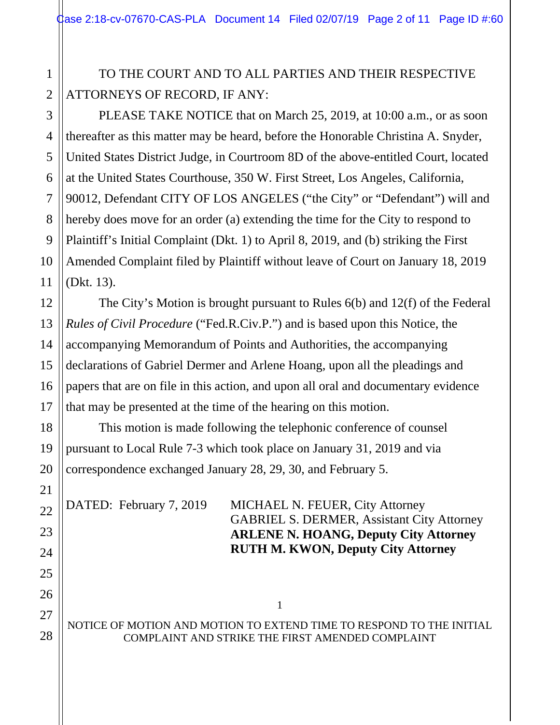# TO THE COURT AND TO ALL PARTIES AND THEIR RESPECTIVE ATTORNEYS OF RECORD, IF ANY:

 PLEASE TAKE NOTICE that on March 25, 2019, at 10:00 a.m., or as soon thereafter as this matter may be heard, before the Honorable Christina A. Snyder, United States District Judge, in Courtroom 8D of the above-entitled Court, located at the United States Courthouse, 350 W. First Street, Los Angeles, California, 90012, Defendant CITY OF LOS ANGELES ("the City" or "Defendant") will and hereby does move for an order (a) extending the time for the City to respond to Plaintiff's Initial Complaint (Dkt. 1) to April 8, 2019, and (b) striking the First Amended Complaint filed by Plaintiff without leave of Court on January 18, 2019 (Dkt. 13).

The City's Motion is brought pursuant to Rules 6(b) and 12(f) of the Federal *Rules of Civil Procedure* ("Fed.R.Civ.P.") and is based upon this Notice, the accompanying Memorandum of Points and Authorities, the accompanying declarations of Gabriel Dermer and Arlene Hoang, upon all the pleadings and papers that are on file in this action, and upon all oral and documentary evidence that may be presented at the time of the hearing on this motion.

This motion is made following the telephonic conference of counsel pursuant to Local Rule 7-3 which took place on January 31, 2019 and via correspondence exchanged January 28, 29, 30, and February 5.

DATED: February 7, 2019 MICHAEL N. FEUER, City Attorney GABRIEL S. DERMER, Assistant City Attorney  **ARLENE N. HOANG, Deputy City Attorney RUTH M. KWON, Deputy City Attorney** 

NOTICE OF MOTION AND MOTION TO EXTEND TIME TO RESPOND TO THE INITIAL COMPLAINT AND STRIKE THE FIRST AMENDED COMPLAINT

1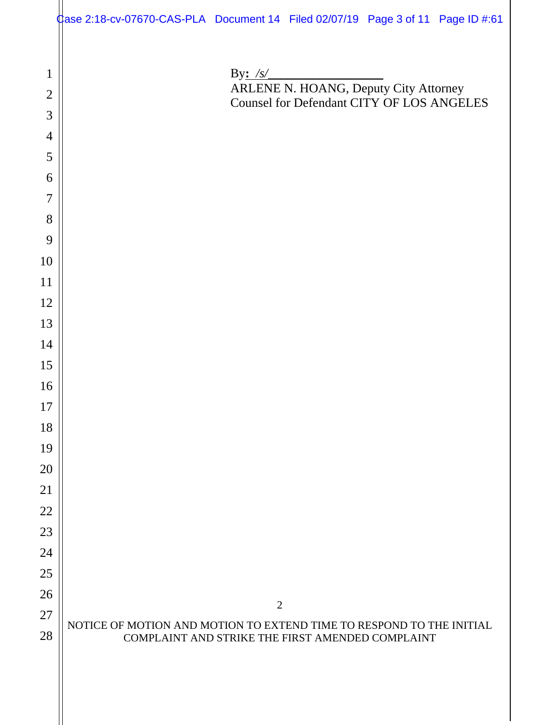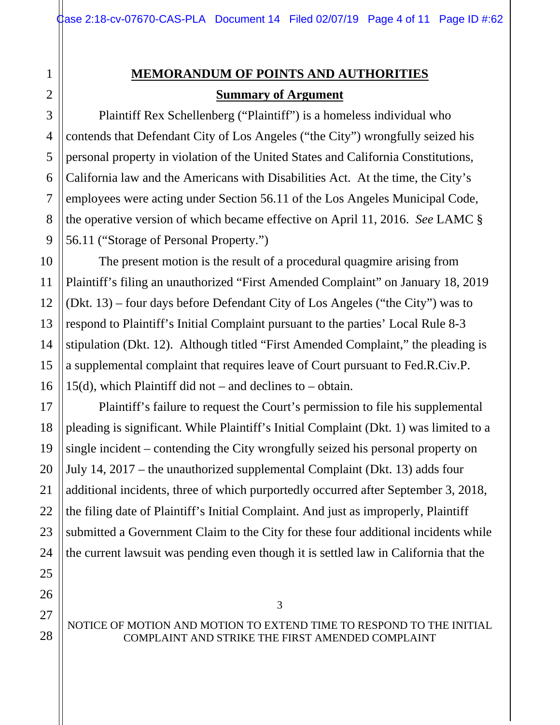# **MEMORANDUM OF POINTS AND AUTHORITIES Summary of Argument**

 Plaintiff Rex Schellenberg ("Plaintiff") is a homeless individual who contends that Defendant City of Los Angeles ("the City") wrongfully seized his personal property in violation of the United States and California Constitutions, California law and the Americans with Disabilities Act. At the time, the City's employees were acting under Section 56.11 of the Los Angeles Municipal Code, the operative version of which became effective on April 11, 2016. *See* LAMC § 56.11 ("Storage of Personal Property.")

The present motion is the result of a procedural quagmire arising from Plaintiff's filing an unauthorized "First Amended Complaint" on January 18, 2019 (Dkt. 13) – four days before Defendant City of Los Angeles ("the City") was to respond to Plaintiff's Initial Complaint pursuant to the parties' Local Rule 8-3 stipulation (Dkt. 12). Although titled "First Amended Complaint," the pleading is a supplemental complaint that requires leave of Court pursuant to Fed.R.Civ.P. 15(d), which Plaintiff did not – and declines to – obtain.

 Plaintiff's failure to request the Court's permission to file his supplemental pleading is significant. While Plaintiff's Initial Complaint (Dkt. 1) was limited to a single incident – contending the City wrongfully seized his personal property on July 14, 2017 – the unauthorized supplemental Complaint (Dkt. 13) adds four additional incidents, three of which purportedly occurred after September 3, 2018, the filing date of Plaintiff's Initial Complaint. And just as improperly, Plaintiff submitted a Government Claim to the City for these four additional incidents while the current lawsuit was pending even though it is settled law in California that the

NOTICE OF MOTION AND MOTION TO EXTEND TIME TO RESPOND TO THE INITIAL COMPLAINT AND STRIKE THE FIRST AMENDED COMPLAINT

3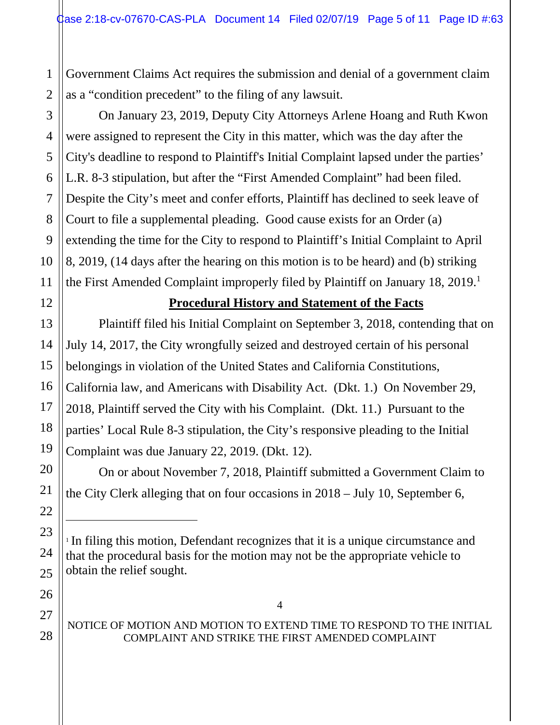1 2 Government Claims Act requires the submission and denial of a government claim as a "condition precedent" to the filing of any lawsuit.

 On January 23, 2019, Deputy City Attorneys Arlene Hoang and Ruth Kwon were assigned to represent the City in this matter, which was the day after the City's deadline to respond to Plaintiff's Initial Complaint lapsed under the parties' L.R. 8-3 stipulation, but after the "First Amended Complaint" had been filed. Despite the City's meet and confer efforts, Plaintiff has declined to seek leave of Court to file a supplemental pleading. Good cause exists for an Order (a) extending the time for the City to respond to Plaintiff's Initial Complaint to April 8, 2019, (14 days after the hearing on this motion is to be heard) and (b) striking the First Amended Complaint improperly filed by Plaintiff on January 18, 2019.<sup>1</sup>

## **Procedural History and Statement of the Facts**

Plaintiff filed his Initial Complaint on September 3, 2018, contending that on July 14, 2017, the City wrongfully seized and destroyed certain of his personal belongings in violation of the United States and California Constitutions, California law, and Americans with Disability Act. (Dkt. 1.) On November 29, 2018, Plaintiff served the City with his Complaint. (Dkt. 11.) Pursuant to the parties' Local Rule 8-3 stipulation, the City's responsive pleading to the Initial Complaint was due January 22, 2019. (Dkt. 12).

On or about November 7, 2018, Plaintiff submitted a Government Claim to the City Clerk alleging that on four occasions in 2018 – July 10, September 6,

## NOTICE OF MOTION AND MOTION TO EXTEND TIME TO RESPOND TO THE INITIAL COMPLAINT AND STRIKE THE FIRST AMENDED COMPLAINT

4

 $\overline{a}$ 

<sup>1</sup> In filing this motion, Defendant recognizes that it is a unique circumstance and that the procedural basis for the motion may not be the appropriate vehicle to obtain the relief sought.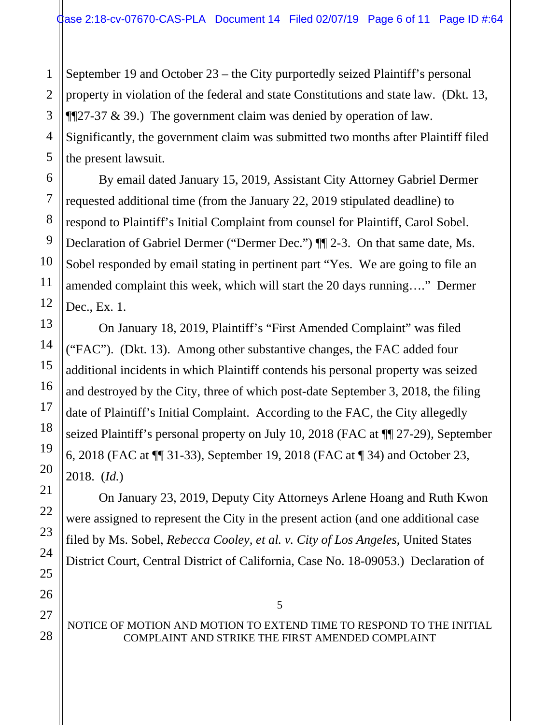September 19 and October 23 – the City purportedly seized Plaintiff's personal property in violation of the federal and state Constitutions and state law. (Dkt. 13,  $\P$ [27-37 & 39.) The government claim was denied by operation of law. Significantly, the government claim was submitted two months after Plaintiff filed the present lawsuit.

By email dated January 15, 2019, Assistant City Attorney Gabriel Dermer requested additional time (from the January 22, 2019 stipulated deadline) to respond to Plaintiff's Initial Complaint from counsel for Plaintiff, Carol Sobel. Declaration of Gabriel Dermer ("Dermer Dec.") ¶¶ 2-3. On that same date, Ms. Sobel responded by email stating in pertinent part "Yes. We are going to file an amended complaint this week, which will start the 20 days running…." Dermer Dec., Ex. 1.

On January 18, 2019, Plaintiff's "First Amended Complaint" was filed ("FAC"). (Dkt. 13). Among other substantive changes, the FAC added four additional incidents in which Plaintiff contends his personal property was seized and destroyed by the City, three of which post-date September 3, 2018, the filing date of Plaintiff's Initial Complaint. According to the FAC, the City allegedly seized Plaintiff's personal property on July 10, 2018 (FAC at ¶¶ 27-29), September 6, 2018 (FAC at ¶¶ 31-33), September 19, 2018 (FAC at ¶ 34) and October 23, 2018. (*Id.*)

On January 23, 2019, Deputy City Attorneys Arlene Hoang and Ruth Kwon were assigned to represent the City in the present action (and one additional case filed by Ms. Sobel, *Rebecca Cooley, et al. v. City of Los Angeles*, United States District Court, Central District of California, Case No. 18-09053.) Declaration of

#### NOTICE OF MOTION AND MOTION TO EXTEND TIME TO RESPOND TO THE INITIAL COMPLAINT AND STRIKE THE FIRST AMENDED COMPLAINT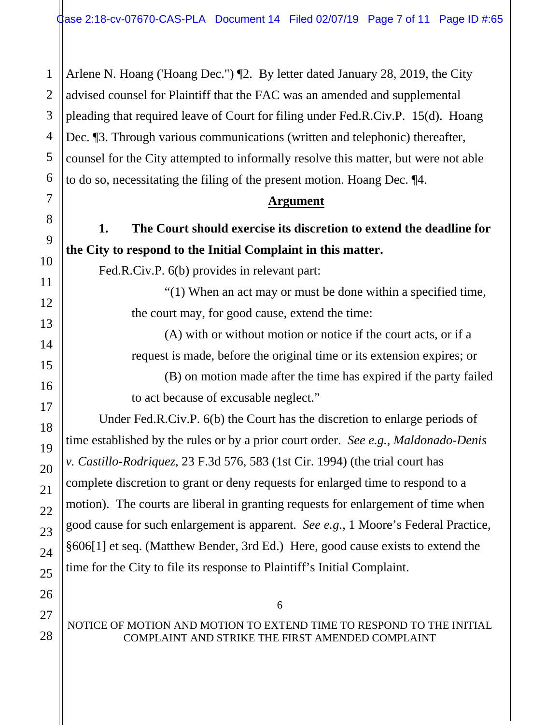1 Arlene N. Hoang ('Hoang Dec.") ¶2. By letter dated January 28, 2019, the City advised counsel for Plaintiff that the FAC was an amended and supplemental pleading that required leave of Court for filing under Fed.R.Civ.P. 15(d). Hoang Dec. ¶3. Through various communications (written and telephonic) thereafter, counsel for the City attempted to informally resolve this matter, but were not able to do so, necessitating the filing of the present motion. Hoang Dec. ¶4.

#### **Argument**

**1. The Court should exercise its discretion to extend the deadline for the City to respond to the Initial Complaint in this matter.** 

Fed.R.Civ.P. 6(b) provides in relevant part:

"(1) When an act may or must be done within a specified time, the court may, for good cause, extend the time:

(A) with or without motion or notice if the court acts, or if a request is made, before the original time or its extension expires; or (B) on motion made after the time has expired if the party failed to act because of excusable neglect."

Under Fed.R.Civ.P. 6(b) the Court has the discretion to enlarge periods of time established by the rules or by a prior court order. *See e.g., Maldonado-Denis v. Castillo-Rodriquez*, 23 F.3d 576, 583 (1st Cir. 1994) (the trial court has complete discretion to grant or deny requests for enlarged time to respond to a motion). The courts are liberal in granting requests for enlargement of time when good cause for such enlargement is apparent. *See e.g*., 1 Moore's Federal Practice, §606[1] et seq. (Matthew Bender, 3rd Ed.) Here, good cause exists to extend the time for the City to file its response to Plaintiff's Initial Complaint.

## NOTICE OF MOTION AND MOTION TO EXTEND TIME TO RESPOND TO THE INITIAL COMPLAINT AND STRIKE THE FIRST AMENDED COMPLAINT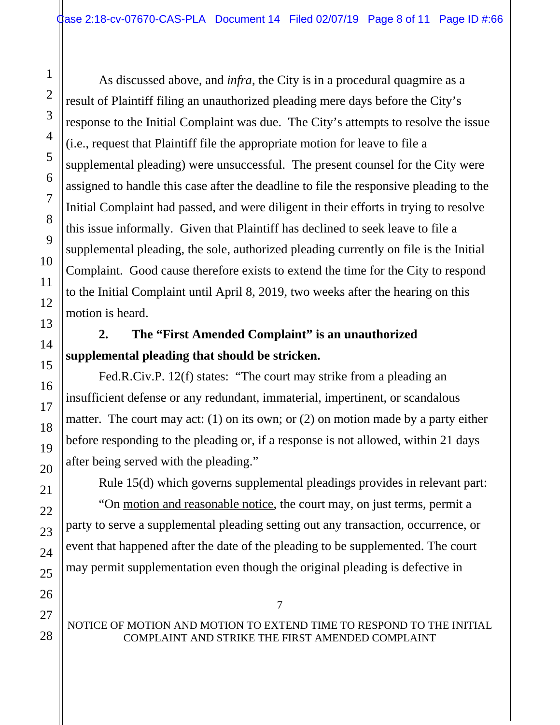As discussed above, and *infra*, the City is in a procedural quagmire as a result of Plaintiff filing an unauthorized pleading mere days before the City's response to the Initial Complaint was due. The City's attempts to resolve the issue (i.e., request that Plaintiff file the appropriate motion for leave to file a supplemental pleading) were unsuccessful. The present counsel for the City were assigned to handle this case after the deadline to file the responsive pleading to the Initial Complaint had passed, and were diligent in their efforts in trying to resolve this issue informally. Given that Plaintiff has declined to seek leave to file a supplemental pleading, the sole, authorized pleading currently on file is the Initial Complaint. Good cause therefore exists to extend the time for the City to respond to the Initial Complaint until April 8, 2019, two weeks after the hearing on this motion is heard.

# **2. The "First Amended Complaint" is an unauthorized supplemental pleading that should be stricken.**

Fed.R.Civ.P. 12(f) states: "The court may strike from a pleading an insufficient defense or any redundant, immaterial, impertinent, or scandalous matter. The court may act: (1) on its own; or (2) on motion made by a party either before responding to the pleading or, if a response is not allowed, within 21 days after being served with the pleading."

Rule 15(d) which governs supplemental pleadings provides in relevant part:

"On motion and reasonable notice, the court may, on just terms, permit a party to serve a supplemental pleading setting out any transaction, occurrence, or event that happened after the date of the pleading to be supplemented. The court may permit supplementation even though the original pleading is defective in

## NOTICE OF MOTION AND MOTION TO EXTEND TIME TO RESPOND TO THE INITIAL COMPLAINT AND STRIKE THE FIRST AMENDED COMPLAINT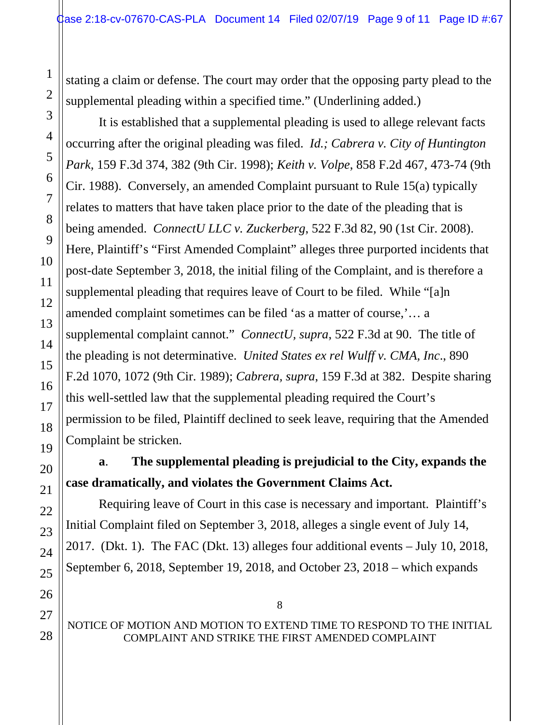stating a claim or defense. The court may order that the opposing party plead to the supplemental pleading within a specified time." (Underlining added.)

It is established that a supplemental pleading is used to allege relevant facts occurring after the original pleading was filed. *Id.; Cabrera v. City of Huntington Park,* 159 F.3d 374, 382 (9th Cir. 1998); *Keith v. Volpe*, 858 F.2d 467, 473-74 (9th Cir. 1988). Conversely, an amended Complaint pursuant to Rule 15(a) typically relates to matters that have taken place prior to the date of the pleading that is being amended. *ConnectU LLC v. Zuckerberg*, 522 F.3d 82, 90 (1st Cir. 2008). Here, Plaintiff's "First Amended Complaint" alleges three purported incidents that post-date September 3, 2018, the initial filing of the Complaint, and is therefore a supplemental pleading that requires leave of Court to be filed. While "[a]n amended complaint sometimes can be filed 'as a matter of course,'… a supplemental complaint cannot." *ConnectU, supra*, 522 F.3d at 90. The title of the pleading is not determinative. *United States ex rel Wulff v. CMA, Inc*., 890 F.2d 1070, 1072 (9th Cir. 1989); *Cabrera, supra*, 159 F.3d at 382. Despite sharing this well-settled law that the supplemental pleading required the Court's permission to be filed, Plaintiff declined to seek leave, requiring that the Amended Complaint be stricken.

# **a**. **The supplemental pleading is prejudicial to the City, expands the case dramatically, and violates the Government Claims Act.**

Requiring leave of Court in this case is necessary and important. Plaintiff's Initial Complaint filed on September 3, 2018, alleges a single event of July 14, 2017. (Dkt. 1). The FAC (Dkt. 13) alleges four additional events – July 10, 2018, September 6, 2018, September 19, 2018, and October 23, 2018 – which expands

#### NOTICE OF MOTION AND MOTION TO EXTEND TIME TO RESPOND TO THE INITIAL COMPLAINT AND STRIKE THE FIRST AMENDED COMPLAINT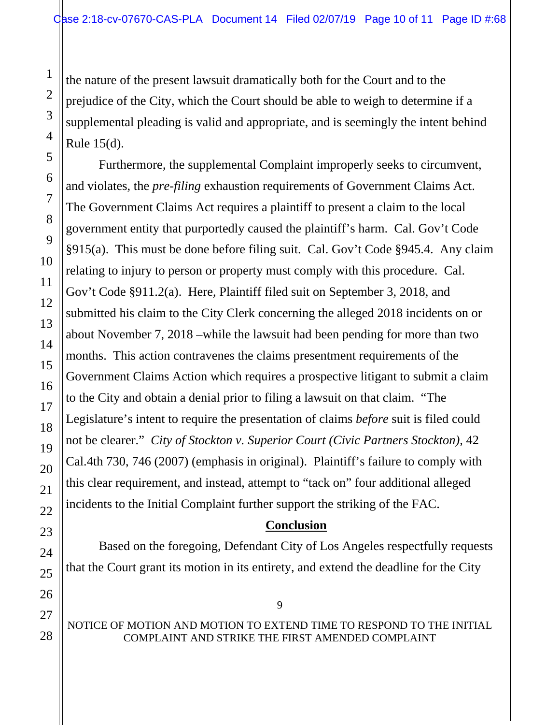the nature of the present lawsuit dramatically both for the Court and to the prejudice of the City, which the Court should be able to weigh to determine if a supplemental pleading is valid and appropriate, and is seemingly the intent behind Rule 15(d).

Furthermore, the supplemental Complaint improperly seeks to circumvent, and violates, the *pre-filing* exhaustion requirements of Government Claims Act. The Government Claims Act requires a plaintiff to present a claim to the local government entity that purportedly caused the plaintiff's harm. Cal. Gov't Code §915(a). This must be done before filing suit. Cal. Gov't Code §945.4. Any claim relating to injury to person or property must comply with this procedure. Cal. Gov't Code §911.2(a). Here, Plaintiff filed suit on September 3, 2018, and submitted his claim to the City Clerk concerning the alleged 2018 incidents on or about November 7, 2018 –while the lawsuit had been pending for more than two months. This action contravenes the claims presentment requirements of the Government Claims Action which requires a prospective litigant to submit a claim to the City and obtain a denial prior to filing a lawsuit on that claim. "The Legislature's intent to require the presentation of claims *before* suit is filed could not be clearer." *City of Stockton v. Superior Court (Civic Partners Stockton),* 42 Cal.4th 730, 746 (2007) (emphasis in original). Plaintiff's failure to comply with this clear requirement, and instead, attempt to "tack on" four additional alleged incidents to the Initial Complaint further support the striking of the FAC.

#### **Conclusion**

Based on the foregoing, Defendant City of Los Angeles respectfully requests that the Court grant its motion in its entirety, and extend the deadline for the City

NOTICE OF MOTION AND MOTION TO EXTEND TIME TO RESPOND TO THE INITIAL COMPLAINT AND STRIKE THE FIRST AMENDED COMPLAINT